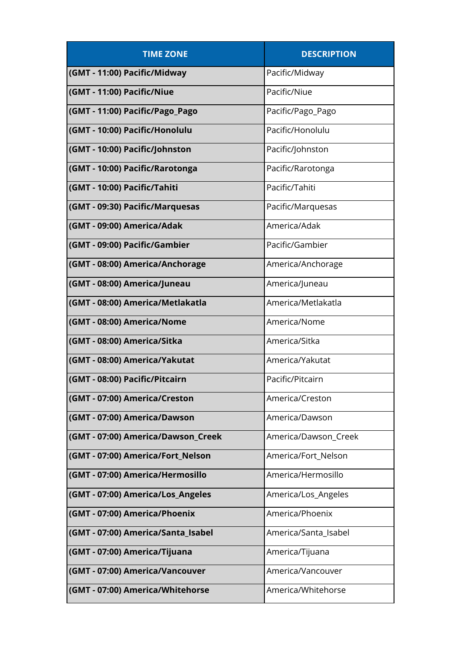| <b>TIME ZONE</b>                   | <b>DESCRIPTION</b>   |
|------------------------------------|----------------------|
| (GMT - 11:00) Pacific/Midway       | Pacific/Midway       |
| (GMT - 11:00) Pacific/Niue         | Pacific/Niue         |
| (GMT - 11:00) Pacific/Pago_Pago    | Pacific/Pago_Pago    |
| (GMT - 10:00) Pacific/Honolulu     | Pacific/Honolulu     |
| (GMT - 10:00) Pacific/Johnston     | Pacific/Johnston     |
| (GMT - 10:00) Pacific/Rarotonga    | Pacific/Rarotonga    |
| (GMT - 10:00) Pacific/Tahiti       | Pacific/Tahiti       |
| (GMT - 09:30) Pacific/Marquesas    | Pacific/Marquesas    |
| (GMT - 09:00) America/Adak         | America/Adak         |
| (GMT - 09:00) Pacific/Gambier      | Pacific/Gambier      |
| (GMT - 08:00) America/Anchorage    | America/Anchorage    |
| (GMT - 08:00) America/Juneau       | America/Juneau       |
| (GMT - 08:00) America/Metlakatla   | America/Metlakatla   |
| (GMT - 08:00) America/Nome         | America/Nome         |
| (GMT - 08:00) America/Sitka        | America/Sitka        |
| (GMT - 08:00) America/Yakutat      | America/Yakutat      |
| (GMT - 08:00) Pacific/Pitcairn     | Pacific/Pitcairn     |
| (GMT - 07:00) America/Creston      | America/Creston      |
| (GMT - 07:00) America/Dawson       | America/Dawson       |
| (GMT - 07:00) America/Dawson_Creek | America/Dawson Creek |
| (GMT - 07:00) America/Fort_Nelson  | America/Fort_Nelson  |
| (GMT - 07:00) America/Hermosillo   | America/Hermosillo   |
| (GMT - 07:00) America/Los_Angeles  | America/Los_Angeles  |
| (GMT - 07:00) America/Phoenix      | America/Phoenix      |
| (GMT - 07:00) America/Santa_Isabel | America/Santa_Isabel |
| (GMT - 07:00) America/Tijuana      | America/Tijuana      |
| (GMT - 07:00) America/Vancouver    | America/Vancouver    |
| (GMT - 07:00) America/Whitehorse   | America/Whitehorse   |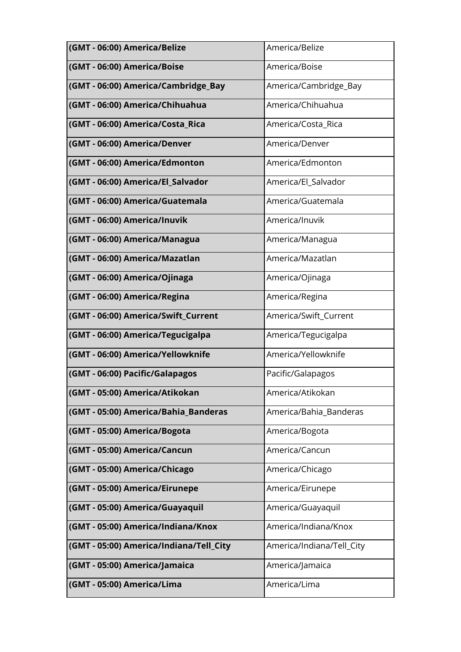| (GMT - 06:00) America/Belize            | America/Belize            |
|-----------------------------------------|---------------------------|
| (GMT - 06:00) America/Boise             | America/Boise             |
| (GMT - 06:00) America/Cambridge_Bay     | America/Cambridge_Bay     |
| (GMT - 06:00) America/Chihuahua         | America/Chihuahua         |
| (GMT - 06:00) America/Costa_Rica        | America/Costa_Rica        |
| (GMT - 06:00) America/Denver            | America/Denver            |
| (GMT - 06:00) America/Edmonton          | America/Edmonton          |
| (GMT - 06:00) America/El_Salvador       | America/El_Salvador       |
| (GMT - 06:00) America/Guatemala         | America/Guatemala         |
| (GMT - 06:00) America/Inuvik            | America/Inuvik            |
| (GMT - 06:00) America/Managua           | America/Managua           |
| (GMT - 06:00) America/Mazatlan          | America/Mazatlan          |
| (GMT - 06:00) America/Ojinaga           | America/Ojinaga           |
| (GMT - 06:00) America/Regina            | America/Regina            |
| (GMT - 06:00) America/Swift_Current     | America/Swift_Current     |
| (GMT - 06:00) America/Tegucigalpa       | America/Tegucigalpa       |
| (GMT - 06:00) America/Yellowknife       | America/Yellowknife       |
| (GMT - 06:00) Pacific/Galapagos         | Pacific/Galapagos         |
| (GMT - 05:00) America/Atikokan          | America/Atikokan          |
| (GMT - 05:00) America/Bahia_Banderas    | America/Bahia_Banderas    |
| (GMT - 05:00) America/Bogota            | America/Bogota            |
| (GMT - 05:00) America/Cancun            | America/Cancun            |
| (GMT - 05:00) America/Chicago           | America/Chicago           |
| (GMT - 05:00) America/Eirunepe          | America/Eirunepe          |
| (GMT - 05:00) America/Guayaquil         | America/Guayaquil         |
| (GMT - 05:00) America/Indiana/Knox      | America/Indiana/Knox      |
| (GMT - 05:00) America/Indiana/Tell_City | America/Indiana/Tell_City |
| (GMT - 05:00) America/Jamaica           | America/Jamaica           |
| (GMT - 05:00) America/Lima              | America/Lima              |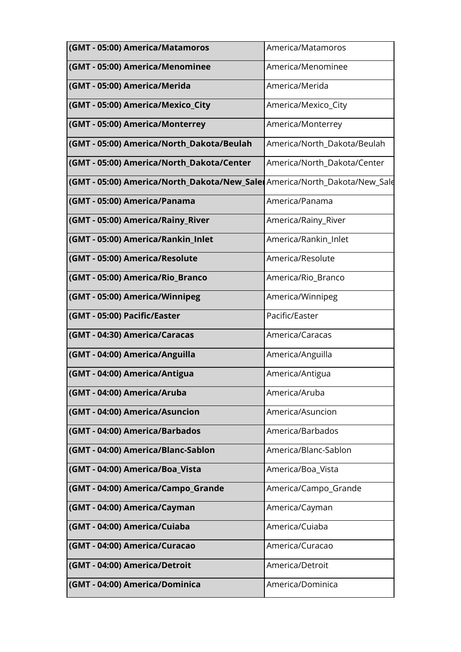| (GMT - 05:00) America/Matamoros                                            | America/Matamoros           |
|----------------------------------------------------------------------------|-----------------------------|
| (GMT - 05:00) America/Menominee                                            | America/Menominee           |
| (GMT - 05:00) America/Merida                                               | America/Merida              |
| (GMT - 05:00) America/Mexico_City                                          | America/Mexico_City         |
| (GMT - 05:00) America/Monterrey                                            | America/Monterrey           |
| (GMT - 05:00) America/North_Dakota/Beulah                                  | America/North_Dakota/Beulah |
| (GMT - 05:00) America/North_Dakota/Center                                  | America/North_Dakota/Center |
| (GMT - 05:00) America/North_Dakota/New_Sale  America/North_Dakota/New_Sale |                             |
| (GMT - 05:00) America/Panama                                               | America/Panama              |
| (GMT - 05:00) America/Rainy_River                                          | America/Rainy_River         |
| (GMT - 05:00) America/Rankin_Inlet                                         | America/Rankin_Inlet        |
| (GMT - 05:00) America/Resolute                                             | America/Resolute            |
| (GMT - 05:00) America/Rio_Branco                                           | America/Rio_Branco          |
| (GMT - 05:00) America/Winnipeg                                             | America/Winnipeg            |
| (GMT - 05:00) Pacific/Easter                                               | Pacific/Easter              |
| (GMT - 04:30) America/Caracas                                              | America/Caracas             |
| (GMT - 04:00) America/Anguilla                                             | America/Anguilla            |
| (GMT - 04:00) America/Antigua                                              | America/Antigua             |
| (GMT - 04:00) America/Aruba                                                | America/Aruba               |
| (GMT - 04:00) America/Asuncion                                             | America/Asuncion            |
| (GMT - 04:00) America/Barbados                                             | America/Barbados            |
| (GMT - 04:00) America/Blanc-Sablon                                         | America/Blanc-Sablon        |
| (GMT - 04:00) America/Boa Vista                                            | America/Boa_Vista           |
| (GMT - 04:00) America/Campo_Grande                                         | America/Campo_Grande        |
| (GMT - 04:00) America/Cayman                                               | America/Cayman              |
| (GMT - 04:00) America/Cuiaba                                               | America/Cuiaba              |
| (GMT - 04:00) America/Curacao                                              | America/Curacao             |
| (GMT - 04:00) America/Detroit                                              | America/Detroit             |
| (GMT - 04:00) America/Dominica                                             | America/Dominica            |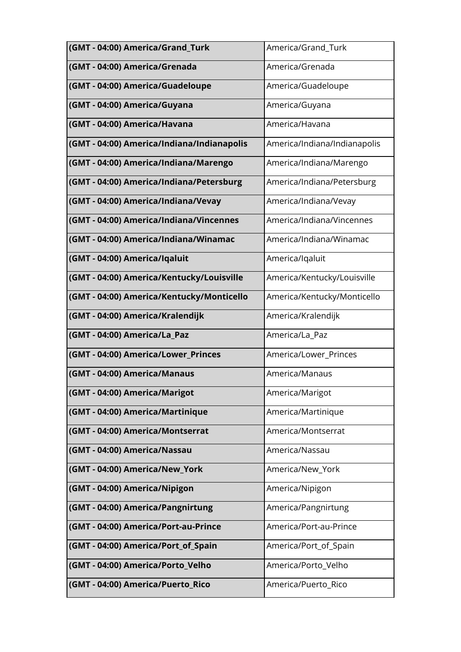| (GMT - 04:00) America/Grand_Turk           | America/Grand_Turk           |
|--------------------------------------------|------------------------------|
| (GMT - 04:00) America/Grenada              | America/Grenada              |
| (GMT - 04:00) America/Guadeloupe           | America/Guadeloupe           |
| (GMT - 04:00) America/Guyana               | America/Guyana               |
| (GMT - 04:00) America/Havana               | America/Havana               |
| (GMT - 04:00) America/Indiana/Indianapolis | America/Indiana/Indianapolis |
| (GMT - 04:00) America/Indiana/Marengo      | America/Indiana/Marengo      |
| (GMT - 04:00) America/Indiana/Petersburg   | America/Indiana/Petersburg   |
| (GMT - 04:00) America/Indiana/Vevay        | America/Indiana/Vevay        |
| (GMT - 04:00) America/Indiana/Vincennes    | America/Indiana/Vincennes    |
| (GMT - 04:00) America/Indiana/Winamac      | America/Indiana/Winamac      |
| (GMT - 04:00) America/Iqaluit              | America/Iqaluit              |
| (GMT - 04:00) America/Kentucky/Louisville  | America/Kentucky/Louisville  |
| (GMT - 04:00) America/Kentucky/Monticello  | America/Kentucky/Monticello  |
| (GMT - 04:00) America/Kralendijk           | America/Kralendijk           |
| (GMT - 04:00) America/La_Paz               | America/La_Paz               |
| (GMT - 04:00) America/Lower_Princes        | America/Lower_Princes        |
| (GMT - 04:00) America/Manaus               | America/Manaus               |
| (GMT - 04:00) America/Marigot              | America/Marigot              |
| (GMT - 04:00) America/Martinique           | America/Martinique           |
| (GMT - 04:00) America/Montserrat           | America/Montserrat           |
| (GMT - 04:00) America/Nassau               | America/Nassau               |
| (GMT - 04:00) America/New_York             | America/New_York             |
| (GMT - 04:00) America/Nipigon              | America/Nipigon              |
| (GMT - 04:00) America/Pangnirtung          | America/Pangnirtung          |
| (GMT - 04:00) America/Port-au-Prince       | America/Port-au-Prince       |
| (GMT - 04:00) America/Port_of_Spain        | America/Port_of_Spain        |
| (GMT - 04:00) America/Porto_Velho          | America/Porto_Velho          |
| (GMT - 04:00) America/Puerto_Rico          | America/Puerto_Rico          |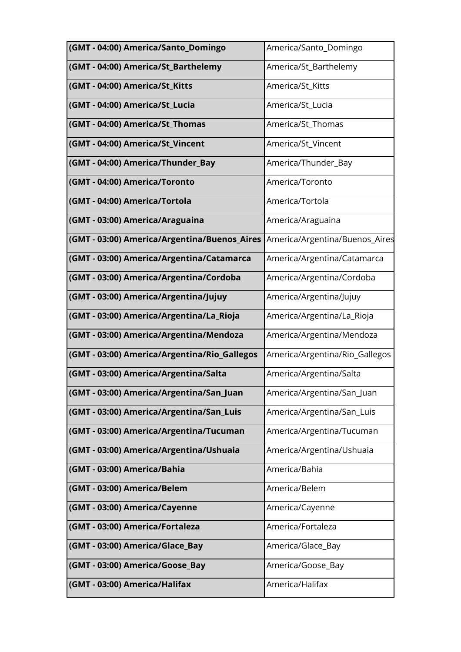| (GMT - 04:00) America/Santo_Domingo          | America/Santo_Domingo          |
|----------------------------------------------|--------------------------------|
| (GMT - 04:00) America/St_Barthelemy          | America/St_Barthelemy          |
| (GMT - 04:00) America/St_Kitts               | America/St_Kitts               |
| (GMT - 04:00) America/St_Lucia               | America/St_Lucia               |
| (GMT - 04:00) America/St_Thomas              | America/St Thomas              |
| (GMT - 04:00) America/St_Vincent             | America/St_Vincent             |
| (GMT - 04:00) America/Thunder_Bay            | America/Thunder_Bay            |
| (GMT - 04:00) America/Toronto                | America/Toronto                |
| (GMT - 04:00) America/Tortola                | America/Tortola                |
| (GMT - 03:00) America/Araguaina              | America/Araguaina              |
| (GMT - 03:00) America/Argentina/Buenos_Aires | America/Argentina/Buenos_Aires |
| (GMT - 03:00) America/Argentina/Catamarca    | America/Argentina/Catamarca    |
| (GMT - 03:00) America/Argentina/Cordoba      | America/Argentina/Cordoba      |
| (GMT - 03:00) America/Argentina/Jujuy        | America/Argentina/Jujuy        |
| (GMT - 03:00) America/Argentina/La_Rioja     | America/Argentina/La_Rioja     |
| (GMT - 03:00) America/Argentina/Mendoza      | America/Argentina/Mendoza      |
| (GMT - 03:00) America/Argentina/Rio_Gallegos | America/Argentina/Rio_Gallegos |
| (GMT - 03:00) America/Argentina/Salta        | America/Argentina/Salta        |
| (GMT - 03:00) America/Argentina/San_Juan     | America/Argentina/San_Juan     |
| (GMT - 03:00) America/Argentina/San_Luis     | America/Argentina/San_Luis     |
| (GMT - 03:00) America/Argentina/Tucuman      | America/Argentina/Tucuman      |
| (GMT - 03:00) America/Argentina/Ushuaia      | America/Argentina/Ushuaia      |
| (GMT - 03:00) America/Bahia                  | America/Bahia                  |
| (GMT - 03:00) America/Belem                  | America/Belem                  |
| (GMT - 03:00) America/Cayenne                | America/Cayenne                |
| (GMT - 03:00) America/Fortaleza              | America/Fortaleza              |
| (GMT - 03:00) America/Glace_Bay              | America/Glace_Bay              |
| (GMT - 03:00) America/Goose_Bay              | America/Goose_Bay              |
| (GMT - 03:00) America/Halifax                | America/Halifax                |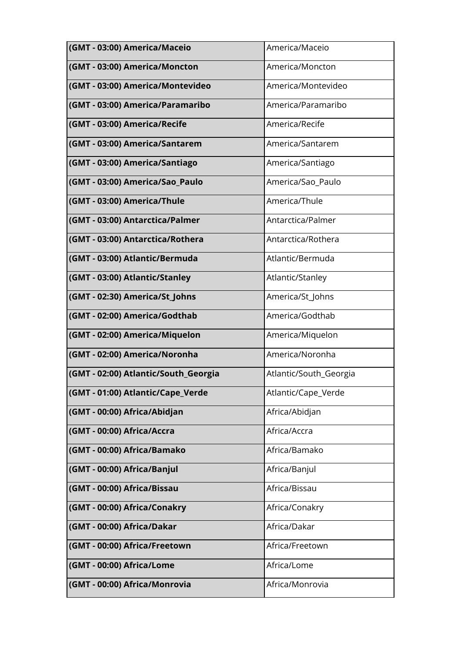| (GMT - 03:00) America/Maceio         | America/Maceio         |
|--------------------------------------|------------------------|
| (GMT - 03:00) America/Moncton        | America/Moncton        |
| (GMT - 03:00) America/Montevideo     | America/Montevideo     |
| (GMT - 03:00) America/Paramaribo     | America/Paramaribo     |
| (GMT - 03:00) America/Recife         | America/Recife         |
| (GMT - 03:00) America/Santarem       | America/Santarem       |
| (GMT - 03:00) America/Santiago       | America/Santiago       |
| (GMT - 03:00) America/Sao_Paulo      | America/Sao_Paulo      |
| (GMT - 03:00) America/Thule          | America/Thule          |
| (GMT - 03:00) Antarctica/Palmer      | Antarctica/Palmer      |
| (GMT - 03:00) Antarctica/Rothera     | Antarctica/Rothera     |
| (GMT - 03:00) Atlantic/Bermuda       | Atlantic/Bermuda       |
| (GMT - 03:00) Atlantic/Stanley       | Atlantic/Stanley       |
| (GMT - 02:30) America/St_Johns       | America/St_Johns       |
| (GMT - 02:00) America/Godthab        | America/Godthab        |
| (GMT - 02:00) America/Miquelon       | America/Miquelon       |
| (GMT - 02:00) America/Noronha        | America/Noronha        |
| (GMT - 02:00) Atlantic/South_Georgia | Atlantic/South_Georgia |
| (GMT - 01:00) Atlantic/Cape_Verde    | Atlantic/Cape_Verde    |
| (GMT - 00:00) Africa/Abidjan         | Africa/Abidjan         |
| (GMT - 00:00) Africa/Accra           | Africa/Accra           |
| (GMT - 00:00) Africa/Bamako          | Africa/Bamako          |
| (GMT - 00:00) Africa/Banjul          | Africa/Banjul          |
| (GMT - 00:00) Africa/Bissau          | Africa/Bissau          |
| (GMT - 00:00) Africa/Conakry         | Africa/Conakry         |
| (GMT - 00:00) Africa/Dakar           | Africa/Dakar           |
| (GMT - 00:00) Africa/Freetown        | Africa/Freetown        |
| (GMT - 00:00) Africa/Lome            | Africa/Lome            |
| (GMT - 00:00) Africa/Monrovia        | Africa/Monrovia        |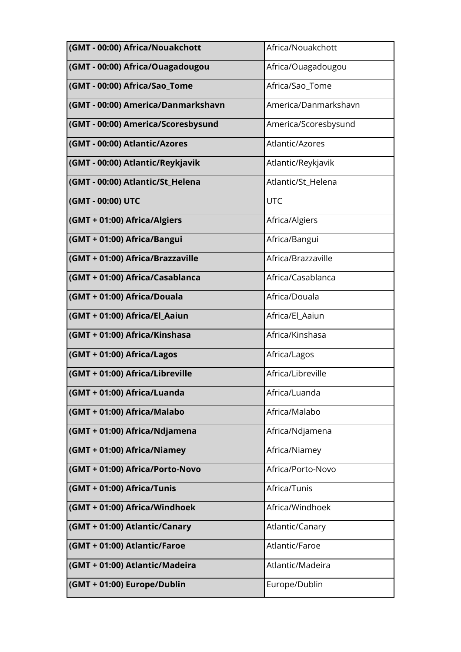| (GMT - 00:00) Africa/Nouakchott    | Africa/Nouakchott    |
|------------------------------------|----------------------|
| (GMT - 00:00) Africa/Ouagadougou   | Africa/Ouagadougou   |
| (GMT - 00:00) Africa/Sao_Tome      | Africa/Sao_Tome      |
| (GMT - 00:00) America/Danmarkshavn | America/Danmarkshavn |
| (GMT - 00:00) America/Scoresbysund | America/Scoresbysund |
| (GMT - 00:00) Atlantic/Azores      | Atlantic/Azores      |
| (GMT - 00:00) Atlantic/Reykjavik   | Atlantic/Reykjavik   |
| (GMT - 00:00) Atlantic/St_Helena   | Atlantic/St_Helena   |
| (GMT - 00:00) UTC                  | <b>UTC</b>           |
| (GMT + 01:00) Africa/Algiers       | Africa/Algiers       |
| (GMT + 01:00) Africa/Bangui        | Africa/Bangui        |
| (GMT + 01:00) Africa/Brazzaville   | Africa/Brazzaville   |
| (GMT + 01:00) Africa/Casablanca    | Africa/Casablanca    |
| (GMT + 01:00) Africa/Douala        | Africa/Douala        |
| (GMT + 01:00) Africa/El_Aaiun      | Africa/El_Aaiun      |
| (GMT + 01:00) Africa/Kinshasa      | Africa/Kinshasa      |
| (GMT + 01:00) Africa/Lagos         | Africa/Lagos         |
| (GMT + 01:00) Africa/Libreville    | Africa/Libreville    |
| (GMT + 01:00) Africa/Luanda        | Africa/Luanda        |
| (GMT + 01:00) Africa/Malabo        | Africa/Malabo        |
| (GMT + 01:00) Africa/Ndjamena      | Africa/Ndjamena      |
| (GMT + 01:00) Africa/Niamey        | Africa/Niamey        |
| (GMT + 01:00) Africa/Porto-Novo    | Africa/Porto-Novo    |
| (GMT + 01:00) Africa/Tunis         | Africa/Tunis         |
| (GMT + 01:00) Africa/Windhoek      | Africa/Windhoek      |
| (GMT + 01:00) Atlantic/Canary      | Atlantic/Canary      |
| (GMT + 01:00) Atlantic/Faroe       | Atlantic/Faroe       |
| (GMT + 01:00) Atlantic/Madeira     | Atlantic/Madeira     |
| (GMT + 01:00) Europe/Dublin        | Europe/Dublin        |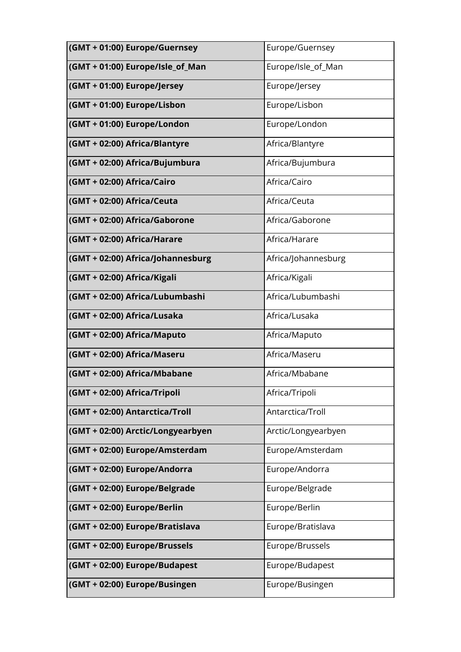| (GMT + 01:00) Europe/Guernsey     | Europe/Guernsey     |
|-----------------------------------|---------------------|
| (GMT + 01:00) Europe/Isle_of_Man  | Europe/Isle_of_Man  |
| (GMT + 01:00) Europe/Jersey       | Europe/Jersey       |
| (GMT + 01:00) Europe/Lisbon       | Europe/Lisbon       |
| (GMT + 01:00) Europe/London       | Europe/London       |
| (GMT + 02:00) Africa/Blantyre     | Africa/Blantyre     |
| (GMT + 02:00) Africa/Bujumbura    | Africa/Bujumbura    |
| (GMT + 02:00) Africa/Cairo        | Africa/Cairo        |
| (GMT + 02:00) Africa/Ceuta        | Africa/Ceuta        |
| (GMT + 02:00) Africa/Gaborone     | Africa/Gaborone     |
| (GMT + 02:00) Africa/Harare       | Africa/Harare       |
| (GMT + 02:00) Africa/Johannesburg | Africa/Johannesburg |
| (GMT + 02:00) Africa/Kigali       | Africa/Kigali       |
| (GMT + 02:00) Africa/Lubumbashi   | Africa/Lubumbashi   |
| (GMT + 02:00) Africa/Lusaka       | Africa/Lusaka       |
| (GMT + 02:00) Africa/Maputo       | Africa/Maputo       |
| (GMT + 02:00) Africa/Maseru       | Africa/Maseru       |
| (GMT + 02:00) Africa/Mbabane      | Africa/Mbabane      |
| (GMT + 02:00) Africa/Tripoli      | Africa/Tripoli      |
| (GMT + 02:00) Antarctica/Troll    | Antarctica/Troll    |
| (GMT + 02:00) Arctic/Longyearbyen | Arctic/Longyearbyen |
| (GMT + 02:00) Europe/Amsterdam    | Europe/Amsterdam    |
| (GMT + 02:00) Europe/Andorra      | Europe/Andorra      |
| (GMT + 02:00) Europe/Belgrade     | Europe/Belgrade     |
| (GMT + 02:00) Europe/Berlin       | Europe/Berlin       |
| (GMT + 02:00) Europe/Bratislava   | Europe/Bratislava   |
| (GMT + 02:00) Europe/Brussels     | Europe/Brussels     |
| (GMT + 02:00) Europe/Budapest     | Europe/Budapest     |
| (GMT + 02:00) Europe/Busingen     | Europe/Busingen     |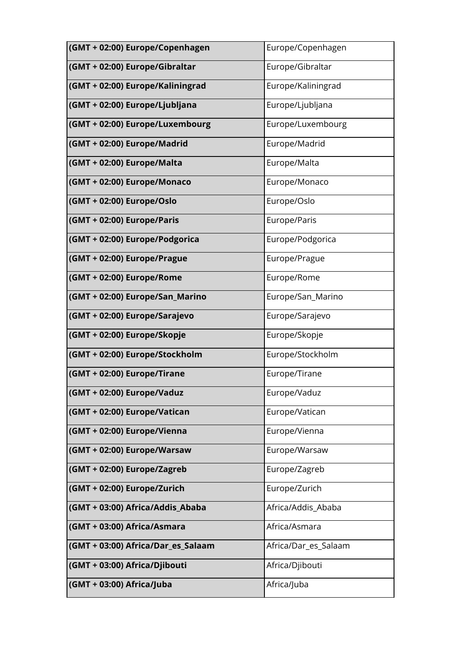| (GMT + 02:00) Europe/Copenhagen    | Europe/Copenhagen    |
|------------------------------------|----------------------|
| (GMT + 02:00) Europe/Gibraltar     | Europe/Gibraltar     |
| (GMT + 02:00) Europe/Kaliningrad   | Europe/Kaliningrad   |
| (GMT + 02:00) Europe/Ljubljana     | Europe/Ljubljana     |
| (GMT + 02:00) Europe/Luxembourg    | Europe/Luxembourg    |
| (GMT + 02:00) Europe/Madrid        | Europe/Madrid        |
| (GMT + 02:00) Europe/Malta         | Europe/Malta         |
| (GMT + 02:00) Europe/Monaco        | Europe/Monaco        |
| (GMT + 02:00) Europe/Oslo          | Europe/Oslo          |
| (GMT + 02:00) Europe/Paris         | Europe/Paris         |
| (GMT + 02:00) Europe/Podgorica     | Europe/Podgorica     |
| (GMT + 02:00) Europe/Prague        | Europe/Prague        |
| (GMT + 02:00) Europe/Rome          | Europe/Rome          |
| (GMT + 02:00) Europe/San_Marino    | Europe/San_Marino    |
| (GMT + 02:00) Europe/Sarajevo      | Europe/Sarajevo      |
| (GMT + 02:00) Europe/Skopje        | Europe/Skopje        |
| (GMT + 02:00) Europe/Stockholm     | Europe/Stockholm     |
| (GMT + 02:00) Europe/Tirane        | Europe/Tirane        |
| (GMT + 02:00) Europe/Vaduz         | Europe/Vaduz         |
| (GMT + 02:00) Europe/Vatican       | Europe/Vatican       |
| (GMT + 02:00) Europe/Vienna        | Europe/Vienna        |
| (GMT + 02:00) Europe/Warsaw        | Europe/Warsaw        |
| (GMT + 02:00) Europe/Zagreb        | Europe/Zagreb        |
| (GMT + 02:00) Europe/Zurich        | Europe/Zurich        |
| (GMT + 03:00) Africa/Addis_Ababa   | Africa/Addis_Ababa   |
| (GMT + 03:00) Africa/Asmara        | Africa/Asmara        |
| (GMT + 03:00) Africa/Dar_es_Salaam | Africa/Dar_es_Salaam |
| (GMT + 03:00) Africa/Djibouti      | Africa/Djibouti      |
| (GMT + 03:00) Africa/Juba          | Africa/Juba          |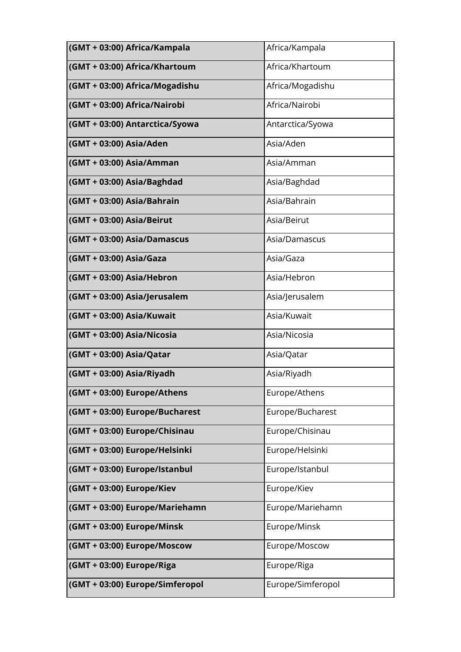| (GMT + 03:00) Africa/Kampala    | Africa/Kampala    |
|---------------------------------|-------------------|
| (GMT + 03:00) Africa/Khartoum   | Africa/Khartoum   |
| (GMT + 03:00) Africa/Mogadishu  | Africa/Mogadishu  |
| (GMT + 03:00) Africa/Nairobi    | Africa/Nairobi    |
| (GMT + 03:00) Antarctica/Syowa  | Antarctica/Syowa  |
| (GMT + 03:00) Asia/Aden         | Asia/Aden         |
| (GMT + 03:00) Asia/Amman        | Asia/Amman        |
| (GMT + 03:00) Asia/Baghdad      | Asia/Baghdad      |
| (GMT + 03:00) Asia/Bahrain      | Asia/Bahrain      |
| (GMT + 03:00) Asia/Beirut       | Asia/Beirut       |
| (GMT + 03:00) Asia/Damascus     | Asia/Damascus     |
| (GMT + 03:00) Asia/Gaza         | Asia/Gaza         |
| (GMT + 03:00) Asia/Hebron       | Asia/Hebron       |
| (GMT + 03:00) Asia/Jerusalem    | Asia/Jerusalem    |
| (GMT + 03:00) Asia/Kuwait       | Asia/Kuwait       |
| (GMT + 03:00) Asia/Nicosia      | Asia/Nicosia      |
| (GMT + 03:00) Asia/Qatar        | Asia/Qatar        |
| (GMT + 03:00) Asia/Riyadh       | Asia/Riyadh       |
| (GMT + 03:00) Europe/Athens     | Europe/Athens     |
| (GMT + 03:00) Europe/Bucharest  | Europe/Bucharest  |
| (GMT + 03:00) Europe/Chisinau   | Europe/Chisinau   |
| (GMT + 03:00) Europe/Helsinki   | Europe/Helsinki   |
| (GMT + 03:00) Europe/Istanbul   | Europe/Istanbul   |
| (GMT + 03:00) Europe/Kiev       | Europe/Kiev       |
| (GMT + 03:00) Europe/Mariehamn  | Europe/Mariehamn  |
| (GMT + 03:00) Europe/Minsk      | Europe/Minsk      |
| (GMT + 03:00) Europe/Moscow     | Europe/Moscow     |
| (GMT + 03:00) Europe/Riga       | Europe/Riga       |
| (GMT + 03:00) Europe/Simferopol | Europe/Simferopol |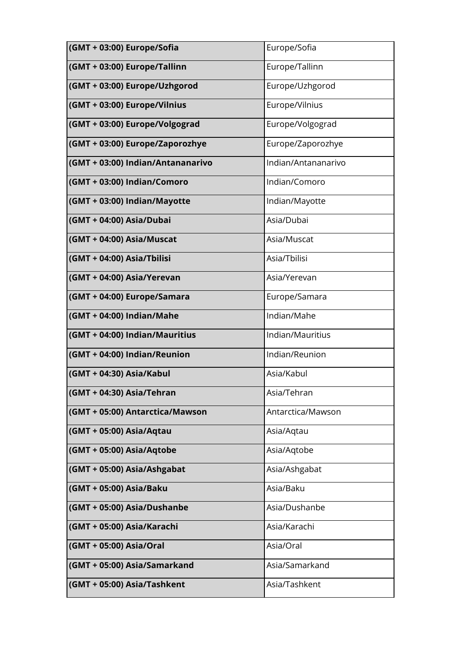| (GMT + 03:00) Europe/Sofia        | Europe/Sofia        |
|-----------------------------------|---------------------|
| (GMT + 03:00) Europe/Tallinn      | Europe/Tallinn      |
| (GMT + 03:00) Europe/Uzhgorod     | Europe/Uzhgorod     |
| (GMT + 03:00) Europe/Vilnius      | Europe/Vilnius      |
| (GMT + 03:00) Europe/Volgograd    | Europe/Volgograd    |
| (GMT + 03:00) Europe/Zaporozhye   | Europe/Zaporozhye   |
| (GMT + 03:00) Indian/Antananarivo | Indian/Antananarivo |
| (GMT + 03:00) Indian/Comoro       | Indian/Comoro       |
| (GMT + 03:00) Indian/Mayotte      | Indian/Mayotte      |
| (GMT + 04:00) Asia/Dubai          | Asia/Dubai          |
| (GMT + 04:00) Asia/Muscat         | Asia/Muscat         |
| (GMT + 04:00) Asia/Tbilisi        | Asia/Tbilisi        |
| (GMT + 04:00) Asia/Yerevan        | Asia/Yerevan        |
| (GMT + 04:00) Europe/Samara       | Europe/Samara       |
| (GMT + 04:00) Indian/Mahe         | Indian/Mahe         |
| (GMT + 04:00) Indian/Mauritius    | Indian/Mauritius    |
| (GMT + 04:00) Indian/Reunion      | Indian/Reunion      |
| (GMT + 04:30) Asia/Kabul          | Asia/Kabul          |
| (GMT + 04:30) Asia/Tehran         | Asia/Tehran         |
| (GMT + 05:00) Antarctica/Mawson   | Antarctica/Mawson   |
| (GMT + 05:00) Asia/Aqtau          | Asia/Aqtau          |
| (GMT + 05:00) Asia/Aqtobe         | Asia/Aqtobe         |
| (GMT + 05:00) Asia/Ashgabat       | Asia/Ashgabat       |
| (GMT + 05:00) Asia/Baku           | Asia/Baku           |
| (GMT + 05:00) Asia/Dushanbe       | Asia/Dushanbe       |
| (GMT + 05:00) Asia/Karachi        | Asia/Karachi        |
| (GMT + 05:00) Asia/Oral           | Asia/Oral           |
| (GMT + 05:00) Asia/Samarkand      | Asia/Samarkand      |
| (GMT + 05:00) Asia/Tashkent       | Asia/Tashkent       |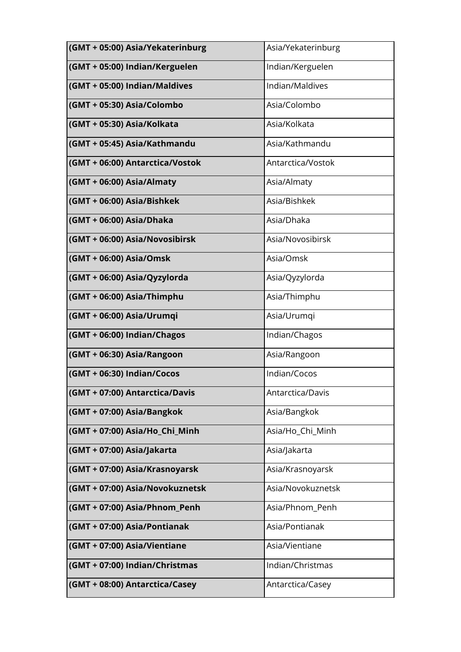| (GMT + 05:00) Asia/Yekaterinburg | Asia/Yekaterinburg |
|----------------------------------|--------------------|
| (GMT + 05:00) Indian/Kerguelen   | Indian/Kerguelen   |
| (GMT + 05:00) Indian/Maldives    | Indian/Maldives    |
| (GMT + 05:30) Asia/Colombo       | Asia/Colombo       |
| (GMT + 05:30) Asia/Kolkata       | Asia/Kolkata       |
| (GMT + 05:45) Asia/Kathmandu     | Asia/Kathmandu     |
| (GMT + 06:00) Antarctica/Vostok  | Antarctica/Vostok  |
| (GMT + 06:00) Asia/Almaty        | Asia/Almaty        |
| (GMT + 06:00) Asia/Bishkek       | Asia/Bishkek       |
| (GMT + 06:00) Asia/Dhaka         | Asia/Dhaka         |
| (GMT + 06:00) Asia/Novosibirsk   | Asia/Novosibirsk   |
| (GMT + 06:00) Asia/Omsk          | Asia/Omsk          |
| (GMT + 06:00) Asia/Qyzylorda     | Asia/Qyzylorda     |
| (GMT + 06:00) Asia/Thimphu       | Asia/Thimphu       |
| (GMT + 06:00) Asia/Urumqi        | Asia/Urumqi        |
| (GMT + 06:00) Indian/Chagos      | Indian/Chagos      |
| (GMT + 06:30) Asia/Rangoon       | Asia/Rangoon       |
| (GMT + 06:30) Indian/Cocos       | Indian/Cocos       |
| (GMT + 07:00) Antarctica/Davis   | Antarctica/Davis   |
| (GMT + 07:00) Asia/Bangkok       | Asia/Bangkok       |
| (GMT + 07:00) Asia/Ho_Chi_Minh   | Asia/Ho_Chi_Minh   |
| (GMT + 07:00) Asia/Jakarta       | Asia/Jakarta       |
| (GMT + 07:00) Asia/Krasnoyarsk   | Asia/Krasnoyarsk   |
| (GMT + 07:00) Asia/Novokuznetsk  | Asia/Novokuznetsk  |
| (GMT + 07:00) Asia/Phnom_Penh    | Asia/Phnom_Penh    |
| (GMT + 07:00) Asia/Pontianak     | Asia/Pontianak     |
| (GMT + 07:00) Asia/Vientiane     | Asia/Vientiane     |
| (GMT + 07:00) Indian/Christmas   | Indian/Christmas   |
| (GMT + 08:00) Antarctica/Casey   | Antarctica/Casey   |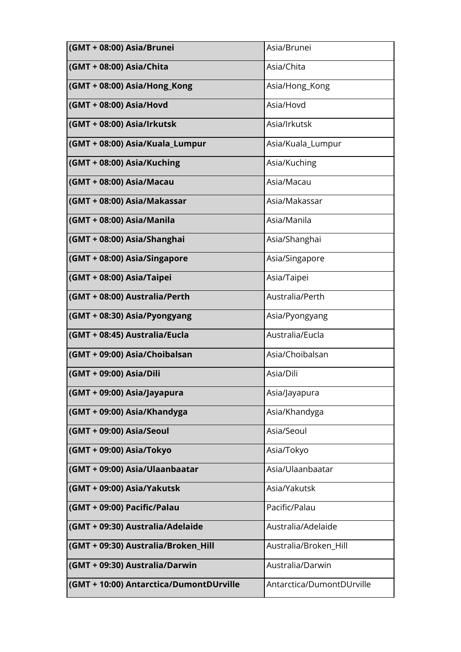| (GMT + 08:00) Asia/Brunei               | Asia/Brunei               |
|-----------------------------------------|---------------------------|
| (GMT + 08:00) Asia/Chita                | Asia/Chita                |
| (GMT + 08:00) Asia/Hong_Kong            | Asia/Hong_Kong            |
| (GMT + 08:00) Asia/Hovd                 | Asia/Hovd                 |
| (GMT + 08:00) Asia/Irkutsk              | Asia/Irkutsk              |
| (GMT + 08:00) Asia/Kuala_Lumpur         | Asia/Kuala_Lumpur         |
| (GMT + 08:00) Asia/Kuching              | Asia/Kuching              |
| (GMT + 08:00) Asia/Macau                | Asia/Macau                |
| (GMT + 08:00) Asia/Makassar             | Asia/Makassar             |
| (GMT + 08:00) Asia/Manila               | Asia/Manila               |
| (GMT + 08:00) Asia/Shanghai             | Asia/Shanghai             |
| (GMT + 08:00) Asia/Singapore            | Asia/Singapore            |
| (GMT + 08:00) Asia/Taipei               | Asia/Taipei               |
| (GMT + 08:00) Australia/Perth           | Australia/Perth           |
| (GMT + 08:30) Asia/Pyongyang            | Asia/Pyongyang            |
| (GMT + 08:45) Australia/Eucla           | Australia/Eucla           |
| (GMT + 09:00) Asia/Choibalsan           | Asia/Choibalsan           |
| (GMT + 09:00) Asia/Dili                 | Asia/Dili                 |
| (GMT + 09:00) Asia/Jayapura             | Asia/Jayapura             |
| (GMT + 09:00) Asia/Khandyga             | Asia/Khandyga             |
| (GMT + 09:00) Asia/Seoul                | Asia/Seoul                |
| (GMT + 09:00) Asia/Tokyo                | Asia/Tokyo                |
| (GMT + 09:00) Asia/Ulaanbaatar          | Asia/Ulaanbaatar          |
| (GMT + 09:00) Asia/Yakutsk              | Asia/Yakutsk              |
| (GMT + 09:00) Pacific/Palau             | Pacific/Palau             |
| (GMT + 09:30) Australia/Adelaide        | Australia/Adelaide        |
| (GMT + 09:30) Australia/Broken_Hill     | Australia/Broken_Hill     |
| (GMT + 09:30) Australia/Darwin          | Australia/Darwin          |
| (GMT + 10:00) Antarctica/DumontDUrville | Antarctica/DumontDUrville |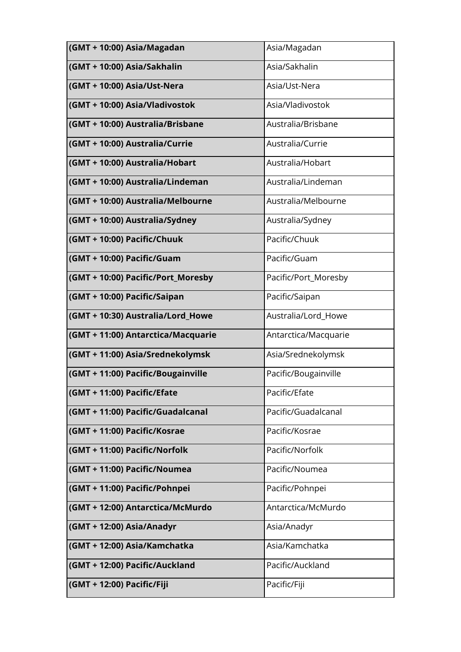| (GMT + 10:00) Asia/Magadan         | Asia/Magadan         |
|------------------------------------|----------------------|
| (GMT + 10:00) Asia/Sakhalin        | Asia/Sakhalin        |
| (GMT + 10:00) Asia/Ust-Nera        | Asia/Ust-Nera        |
| (GMT + 10:00) Asia/Vladivostok     | Asia/Vladivostok     |
| (GMT + 10:00) Australia/Brisbane   | Australia/Brisbane   |
| (GMT + 10:00) Australia/Currie     | Australia/Currie     |
| (GMT + 10:00) Australia/Hobart     | Australia/Hobart     |
| (GMT + 10:00) Australia/Lindeman   | Australia/Lindeman   |
| (GMT + 10:00) Australia/Melbourne  | Australia/Melbourne  |
| (GMT + 10:00) Australia/Sydney     | Australia/Sydney     |
| (GMT + 10:00) Pacific/Chuuk        | Pacific/Chuuk        |
| (GMT + 10:00) Pacific/Guam         | Pacific/Guam         |
| (GMT + 10:00) Pacific/Port_Moresby | Pacific/Port_Moresby |
| (GMT + 10:00) Pacific/Saipan       | Pacific/Saipan       |
| (GMT + 10:30) Australia/Lord_Howe  | Australia/Lord_Howe  |
| (GMT + 11:00) Antarctica/Macquarie | Antarctica/Macquarie |
| (GMT + 11:00) Asia/Srednekolymsk   | Asia/Srednekolymsk   |
| (GMT + 11:00) Pacific/Bougainville | Pacific/Bougainville |
| (GMT + 11:00) Pacific/Efate        | Pacific/Efate        |
| (GMT + 11:00) Pacific/Guadalcanal  | Pacific/Guadalcanal  |
| (GMT + 11:00) Pacific/Kosrae       | Pacific/Kosrae       |
| (GMT + 11:00) Pacific/Norfolk      | Pacific/Norfolk      |
| (GMT + 11:00) Pacific/Noumea       | Pacific/Noumea       |
| (GMT + 11:00) Pacific/Pohnpei      | Pacific/Pohnpei      |
| (GMT + 12:00) Antarctica/McMurdo   | Antarctica/McMurdo   |
| (GMT + 12:00) Asia/Anadyr          | Asia/Anadyr          |
| (GMT + 12:00) Asia/Kamchatka       | Asia/Kamchatka       |
| (GMT + 12:00) Pacific/Auckland     | Pacific/Auckland     |
| (GMT + 12:00) Pacific/Fiji         | Pacific/Fiji         |